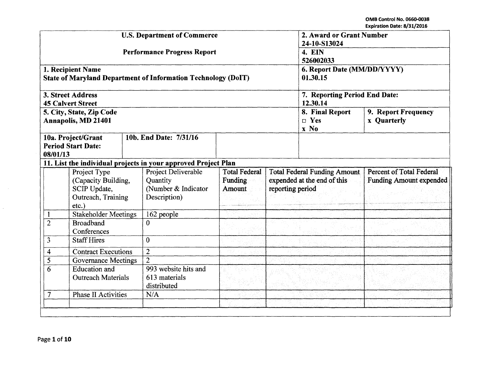OMB Control No. 066o-0038 Expiration Date: 8/31/2016

|                                              |                                                                                    |                | <b>U.S. Department of Commerce</b>                                     | 2. Award or Grant Number<br>24-10-S13024         |                                                                                        |                                           |                                                            |  |
|----------------------------------------------|------------------------------------------------------------------------------------|----------------|------------------------------------------------------------------------|--------------------------------------------------|----------------------------------------------------------------------------------------|-------------------------------------------|------------------------------------------------------------|--|
|                                              |                                                                                    |                | <b>Performance Progress Report</b>                                     | 4. EIN<br>526002033                              |                                                                                        |                                           |                                                            |  |
|                                              | 1. Recipient Name                                                                  |                | <b>State of Maryland Department of Information Technology (DoIT)</b>   | 6. Report Date (MM/DD/YYYY)<br>01.30.15          |                                                                                        |                                           |                                                            |  |
|                                              | 3. Street Address<br><b>45 Calvert Street</b>                                      |                |                                                                        |                                                  | 7. Reporting Period End Date:<br>12.30.14                                              |                                           |                                                            |  |
|                                              | 5. City, State, Zip Code<br><b>Annapolis, MD 21401</b>                             |                |                                                                        |                                                  | 8. Final Report<br>$\square$ Yes<br>x No                                               | 9. Report Frequency<br><b>x</b> Quarterly |                                                            |  |
| 08/01/13                                     | 10a. Project/Grant<br><b>Period Start Date:</b>                                    |                | 10b. End Date: 7/31/16                                                 |                                                  |                                                                                        |                                           |                                                            |  |
|                                              |                                                                                    |                | 11. List the individual projects in your approved Project Plan         |                                                  |                                                                                        |                                           |                                                            |  |
|                                              | Project Type<br>(Capacity Building,<br>SCIP Update,<br>Outreach, Training<br>etc.) |                | Project Deliverable<br>Quantity<br>(Number & Indicator<br>Description) | <b>Total Federal</b><br>Funding<br><b>Amount</b> | <b>Total Federal Funding Amount</b><br>expended at the end of this<br>reporting period |                                           | Percent of Total Federal<br><b>Funding Amount expended</b> |  |
| $\mathbf{1}$                                 | Stakeholder Meetings                                                               |                | 162 people                                                             |                                                  |                                                                                        |                                           |                                                            |  |
| $\overline{2}$                               | <b>Broadband</b><br>Conferences                                                    |                | $\Omega$                                                               |                                                  |                                                                                        |                                           |                                                            |  |
|                                              | 3<br><b>Staff Hires</b>                                                            |                | $\theta$                                                               |                                                  |                                                                                        |                                           |                                                            |  |
| <b>Contract Executions</b><br>4              |                                                                                    | $\overline{2}$ |                                                                        |                                                  |                                                                                        |                                           |                                                            |  |
| 5<br><b>Governance Meetings</b>              |                                                                                    | $\overline{2}$ |                                                                        |                                                  |                                                                                        |                                           |                                                            |  |
|                                              | 6<br>Education and<br><b>Outreach Materials</b>                                    |                | 993 website hits and<br>613 materials<br>distributed                   |                                                  |                                                                                        |                                           |                                                            |  |
| $\overline{7}$<br><b>Phase II Activities</b> |                                                                                    |                | N/A                                                                    |                                                  |                                                                                        |                                           |                                                            |  |
|                                              |                                                                                    |                |                                                                        |                                                  |                                                                                        |                                           |                                                            |  |
|                                              |                                                                                    |                |                                                                        |                                                  |                                                                                        |                                           |                                                            |  |

 $\sim$   $\sim$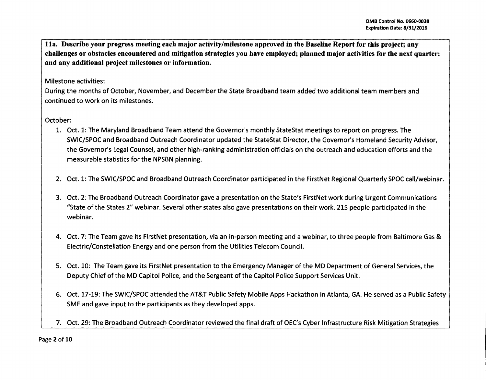lla. Describe your progress meeting each major activity/milestone approved in the Baseline Report for this project; any challenges or obstacles encountered and mitigation strategies you have employed; planned major activities for the next quarter; and any additional project milestones or information.

## Milestone activities:

During the months of October, November, and December the State Broadband team added two additional team members and continued to work on its milestones.

# October:

- 1. Oct. 1: The Maryland Broadband Team attend the Governor's monthly StateStat meetings to report on progress. The SWIC/SPOC and Broadband Outreach Coordinator updated the StateStat Director, the Governor's Homeland Security Advisor, the Governor's legal Counsel, and other high-ranking administration officials on the outreach and education efforts and the measurable statistics for the NPSBN planning.
- 2. Oct. 1: The SWIC/SPOC and Broadband Outreach Coordinator participated in the FirstNet Regional Quarterly SPOC call/webinar.
- 3. Oct. 2: The Broadband Outreach Coordinator gave a presentation on the State's FirstNet work during Urgent Communications "State of the States 2" webinar. Several other states also gave presentations on their work. 215 people participated in the webinar.
- 4. Oct. 7: The Team gave its FirstNet presentation, via an in-person meeting and a webinar, to three people from Baltimore Gas & Electric/Constellation Energy and one person from the Utilities Telecom Council.
- 5. Oct. 10: The Team gave its FirstNet presentation to the Emergency Manager of the MD Department of General Services, the Deputy Chief of the MD Capitol Police, and the Sergeant of the Capitol Police Support Services Unit.
- 6. Oct. 17-19: The SWIC/SPOC attended the AT&T Public Safety Mobile Apps Hackathon in Atlanta, GA. He served as a Public Safety SME and gave input to the participants as they developed apps.
- 7. Oct. 29: The Broadband Outreach Coordinator reviewed the final draft of OEC's Cyber Infrastructure Risk Mitigation Strategies

Page 2 of 10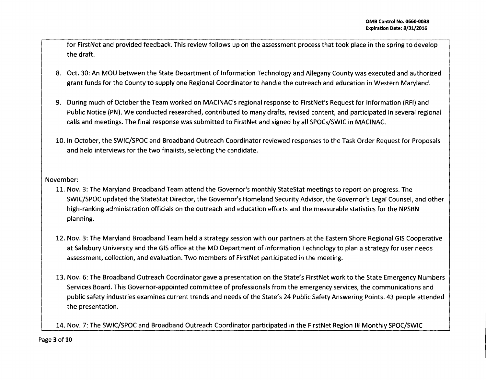$f_{\text{max}}$  ,  $f_{\text{max}}$  ,  $f_{\text{max}}$  ,  $f_{\text{max}}$  ,  $f_{\text{max}}$  ,  $f_{\text{max}}$  ,  $f_{\text{max}}$  ,  $f_{\text{max}}$  ,  $f_{\text{max}}$  ,  $f_{\text{max}}$  ,  $f_{\text{max}}$  ,  $f_{\text{max}}$  ,  $f_{\text{max}}$  ,  $f_{\text{max}}$  ,  $f_{\text{max}}$  ,  $f_{\text{max}}$  ,  $f_{\text{max}}$  ,  $f_{\text{max}}$  ,  $f_{\text$ for FirstNet and provided feedback. This review follows up on the assessment process that took place in the spring to develop the draft.

- 8. Oct. 30: An MOU between the State Department of Information Technology and Allegany County was executed and authorized grant funds for the County to supply one Regional Coordinator to handle the outreach and education in Western Maryland.
- 9. During much of October the Team worked on MACINAC's regional response to FirstNet's Request for Information (RFI) and Public Notice (PN). We conducted researched, contributed to many drafts, revised content, and participated in several regional calls and meetings. The final response was submitted to FirstNet and signed by all SPOCs/SWIC in MACINAC.
- 10. In October, the SWIC/SPOC and Broadband Outreach Coordinator reviewed responses to the Task Order Request for Proposals and held interviews for the two finalists, selecting the candidate.

November:

- 11. Nov. 3: The Maryland Broadband Team attend the Governor's monthly StateStat meetings to report on progress. The SWIC/SPOC updated the StateStat Director, the Governor's Homeland Security Advisor, the Governor's Legal Counsel, and other high-ranking administration officials on the outreach and education efforts and the measurable statistics for the NPSBN planning.
- 12. Nov. 3: The Maryland Broadband Team held a strategy session with our partners at the Eastern Shore Regional GIS Cooperative at Salisbury University and the GIS office at the MD Department of Information Technology to plan a strategy for user needs assessment, collection, and evaluation. Two members of FirstNet participated in the meeting.
- 13. Nov. 6: The Broadband Outreach Coordinator gave a presentation on the State's FirstNet work to the State Emergency Numbers Services Board. This Governor-appointed committee of professionals from the emergency services, the communications and public safety industries examines current trends and needs of the State's 24 Public Safety Answering Points. 43 people attended the presentation.

14. Nov. 7: The SWIC/SPOC and Broadband Outreach Coordinator participated in the FirstNet Region Ill Monthly SPOC/SWIC

Page **3 of 10**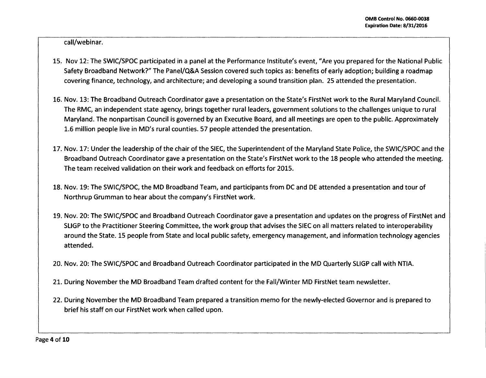call/webinar.

- 15. Nov 12: The SWIC/SPOC participated in a panel at the Performance Institute's event, "Are you prepared for the National Public Safety Broadband Network?" The Panei/Q&A Session covered such topics as: benefits of early adoption; building a roadmap covering finance, technology, and architecture; and developing a sound transition plan. 25 attended the presentation.
- 16. Nov. 13: The Broadband Outreach Coordinator gave a presentation on the State's FirstNet work to the Rural Maryland Council. The RMC, an independent state agency, brings together rural leaders, government solutions to the challenges unique to rural Maryland. The nonpartisan Council is governed by an Executive Board, and all meetings are open to the public. Approximately 1.6 million people live in MD's rural counties. 57 people attended the presentation.
- 17. Nov. 17: Under the leadership of the chair of the SIEC, the Superintendent of the Maryland State Police, the SWIC/SPOC and the Broadband Outreach Coordinator gave a presentation on the State's FirstNet work to the 18 people who attended the meeting. The team received validation on their work and feedback on efforts for 2015.
- 18. Nov. 19: The SWIC/SPOC, the MD Broadband Team, and participants from DC and DE attended a presentation and tour of Northrup Grumman to hear about the company's FirstNet work.
- 19. Nov. 20: The SWIC/SPOC and Broadband Outreach Coordinator gave a presentation and updates on the progress of FirstNet and SLIGP to the Practitioner Steering Committee, the work group that advises the SIEC on all matters related to interoperability around the State. 15 people from State and local public safety, emergency management, and information technology agencies attended.
- 20. Nov. 20: The SWIC/SPOC and Broadband Outreach Coordinator participated in the MD Quarterly SLIGP call with NTIA.
- 21. During November the MD Broadband Team drafted content for the Fall/Winter MD FirstNet team newsletter.
- 22. During November the MD Broadband Team prepared a transition memo for the newly-elected Governor and is prepared to brief his staff on our FirstNet work when called upon.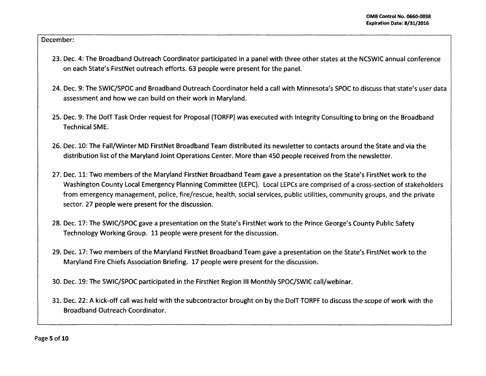December:

- 23. Dec. 4: The Broadband Outreach Coordinator participated in a panel with three other states at the NCSWIC annual conference on each State's FirstNet outreach efforts. 63 people were present for the panel.
- 24. Dec. 9: The SWIC/SPOC and Broadband Outreach Coordinator held a call with Minnesota's SPOC to discuss that state's user data assessment and how we can build on their work in Maryland.
- 25. Dec. 9: The DolT Task Order request for Proposal (TORFP) was executed with Integrity Consulting to bring on the Broadband Technical SME.
- 26. Dec. 10: The Fall/Winter MD FirstNet Broadband Team distributed its newsletter to contacts around the State and via the distribution list of the Maryland Joint Operations Center. More than 450 people received from the newsletter.
- 27. Dec. 11: Two members of the Maryland FirstNet Broadband Team gave a presentation on the State's FirstNet work to the Washington County Local Emergency Planning Committee (LEPC). Local LEPCs are comprised of a cross-section of stakeholders from emergency management, police, fire/rescue, health, social services, public utilities, community groups, and the private sector. 27 people were present for the discussion.
- 28. Dec. 17: The SWIC/SPOC gave a presentation on the State's FirstNet work to the Prince George's County Public Safety Technology Working Group. 11 people were present for the discussion.
- 29. Dec. 17: Two members of the Maryland FirstNet Broadband Team gave a presentation on the State's FirstNet work to the Maryland Fire Chiefs Association Briefing. 17 people were present for the discussion.

30. Dec. 19: The SWIC/SPOC participated in the FirstNet Region Ill Monthly SPOC/SWIC call/webinar.

31. Dec. 22: A kick-off call was held with the subcontractor brought on by the DolT TORPF to discuss the scope of work with the Broadband Outreach Coordinator.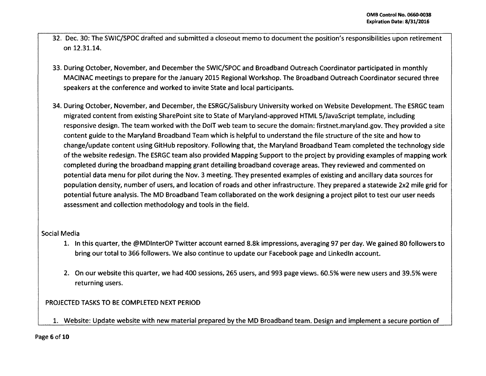- 32. Dec. 30: The SWIC/SPOC drafted and submitted a closeout memo to document the position's responsibilities upon retirement on 12.31.14.
- 33. During October, November, and December the SWIC/SPOC and Broadband Outreach Coordinator participated in monthly MACINAC meetings to prepare for the January 2015 Regional Workshop. The Broadband Outreach Coordinator secured three speakers at the conference and worked to invite State and local participants.
- 34. During October, November, and December, the ESRGC/Salisbury University worked on Website Development. The ESRGC team migrated content from existing Share Point site to State of Maryland-approved HTML5/JavaScript template, including responsive design. The team worked with the DolT web team to secure the domain: firstnet.maryland.gov. They provided a site content guide to the Maryland Broadband Team which is helpful to understand the file structure of the site and how to change/update content using GitHub repository. Following that, the Maryland Broadband Team completed the technology side of the website redesign. The ESRGC team also provided Mapping Support to the project by providing examples of mapping work completed during the broadband mapping grant detailing broadband coverage areas. They reviewed and commented on potential data menu for pilot during the Nov. 3 meeting. They presented examples of existing and ancillary data sources for population density, number of users, and location of roads and other infrastructure. They prepared a statewide 2x2 mile grid for potential future analysis. The MD Broadband Team collaborated on the work designing a project pilot to test our user needs assessment and collection methodology and tools in the field.

### Social Media

- 1. In this quarter, the @MDinterOP Twitter account earned 8.8k impressions, averaging 97 per day. We gained 80 followers to bring our total to 366 followers. We also continue to update our Facebook page and Linkedln account.
- 2. On our website this quarter, we had 400 sessions, 265 users, and 993 page views. 60.5% were new users and 39.5% were returning users.

# PROJECTED TASKS TO BE COMPLETED NEXT PERIOD

1. Website: Update website with new material prepared by the MD Broadband team. Design and implement a secure portion of

#### Page 6 of 10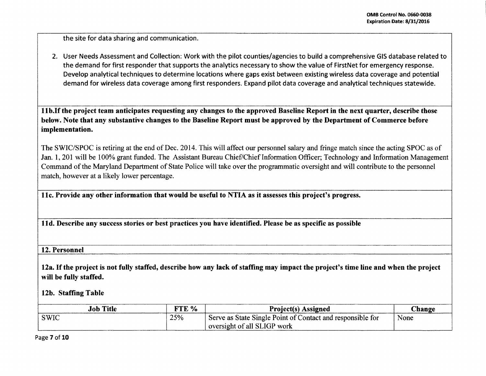.

the site for data sharing and communication.

2. User Needs Assessment and Collection: Work with the pilot counties/agencies to build a comprehensive GIS database related to the demand for first responder that supports the analytics necessary to show the value of FirstNet for emergency response. Develop analytical techniques to determine locations where gaps exist between existing wireless data coverage and potential demand for wireless data coverage among first responders. Expand pilot data coverage and analytical techniques statewide.

llb.lfthe project team anticipates requesting any changes to the approved Baseline Report in the next quarter, describe those below. Note that any substantive changes to the Baseline Report must be approved by the Department of Commerce before implementation.

The SWIC/SPOC is retiring at the end of Dec. 2014. This will affect our personnel salary and fringe match since the acting SPOC as of Jan. 1, 201 will be 100% grant funded. The Assistant Bureau Chief/Chief Information Officer; Technology and Information Management Command of the Maryland Department of State Police will take over the programmatic oversight and will contribute to the personnel match, however at a likely lower percentage.

llc. Provide any other information that would be useful to NTIA as it assesses this project's progress.

11 d. Describe any success stories or best practices you have identified. Please be as specific as possible

12. Personnel

12a. If the project is not fully staffed, describe how any lack of staffing may impact the project's time line and when the project will be fully staffed.

12b. Staffing Table

| <b>Job Title</b> | FTE % | <b>Project(s)</b> Assigned                                 | <b>hange</b> |
|------------------|-------|------------------------------------------------------------|--------------|
| <b>SWIC</b>      | 25%   | Serve as State Single Point of Contact and responsible for | None         |
|                  |       | oversight of all SLIGP work                                |              |

Page 7 of 10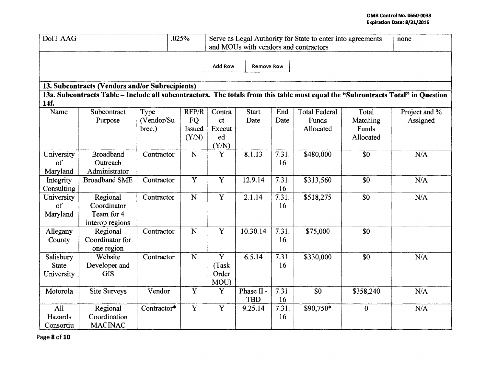| <b>DoIT AAG</b><br>.025%                                                                                                                 |                                                          |                              |                                       | Serve as Legal Authority for State to enter into agreements<br>and MOUs with vendors and contractors | none                     |             |                                            |                                         |                           |
|------------------------------------------------------------------------------------------------------------------------------------------|----------------------------------------------------------|------------------------------|---------------------------------------|------------------------------------------------------------------------------------------------------|--------------------------|-------------|--------------------------------------------|-----------------------------------------|---------------------------|
| Add Row<br><b>Remove Row</b>                                                                                                             |                                                          |                              |                                       |                                                                                                      |                          |             |                                            |                                         |                           |
| 13. Subcontracts (Vendors and/or Subrecipients)                                                                                          |                                                          |                              |                                       |                                                                                                      |                          |             |                                            |                                         |                           |
| 13a. Subcontracts Table - Include all subcontractors. The totals from this table must equal the "Subcontracts Total" in Question<br>14f. |                                                          |                              |                                       |                                                                                                      |                          |             |                                            |                                         |                           |
| Name                                                                                                                                     | Subcontract<br>Purpose                                   | Type<br>(Vendor/Su<br>brec.) | RFP/R<br><b>FQ</b><br>Issued<br>(Y/N) | Contra<br>ct<br>Execut<br>ed<br>(Y/N)                                                                | <b>Start</b><br>Date     | End<br>Date | <b>Total Federal</b><br>Funds<br>Allocated | Total<br>Matching<br>Funds<br>Allocated | Project and %<br>Assigned |
| University<br>of<br>Maryland                                                                                                             | <b>Broadband</b><br>Outreach<br>Administrator            | Contractor                   | $\overline{\mathbf{N}}$               | $\overline{\mathbf{Y}}$                                                                              | 8.1.13                   | 7.31.<br>16 | \$480,000                                  | $\overline{30}$                         | N/A                       |
| Integrity<br>Consulting                                                                                                                  | <b>Broadband SME</b>                                     | Contractor                   | $\overline{\mathbf{Y}}$               | $\overline{\mathbf{Y}}$                                                                              | 12.9.14                  | 7.31.<br>16 | \$313,560                                  | $\overline{\$0}$                        | N/A                       |
| University<br>of<br>Maryland                                                                                                             | Regional<br>Coordinator<br>Team for 4<br>interop regions | Contractor                   | $\mathbf N$                           | Y                                                                                                    | 2.1.14                   | 7.31.<br>16 | \$518,275                                  | \$0                                     | N/A                       |
| Allegany<br>County                                                                                                                       | Regional<br>Coordinator for<br>one region                | Contractor                   | ${\bf N}$                             | $\overline{\mathbf{Y}}$                                                                              | 10.30.14                 | 7.31.<br>16 | \$75,000                                   | $\overline{\textbf{S}}$ <sup>0</sup>    |                           |
| Salisbury<br><b>State</b><br>University                                                                                                  | Website<br>Developer and<br><b>GIS</b>                   | Contractor                   | ${\bf N}$                             | $\overline{Y}$<br>(Task<br>Order<br>MOU)                                                             | 6.5.14                   | 7.31.<br>16 | \$330,000                                  | \$0                                     | N/A                       |
| Motorola                                                                                                                                 | <b>Site Surveys</b>                                      | Vendor                       | $\overline{Y}$                        | Y                                                                                                    | Phase II -<br><b>TBD</b> | 7.31.<br>16 | \$0                                        | \$358,240                               | N/A                       |
| All<br>Hazards<br>Consortiu                                                                                                              | Regional<br>Coordination<br><b>MACINAC</b>               | Contractor*                  | $\overline{\mathbf{Y}}$               | $\overline{Y}$                                                                                       | 9.25.14                  | 7.31.<br>16 | \$90,750*                                  | $\mathbf{0}$                            | N/A                       |

Page 8 of 10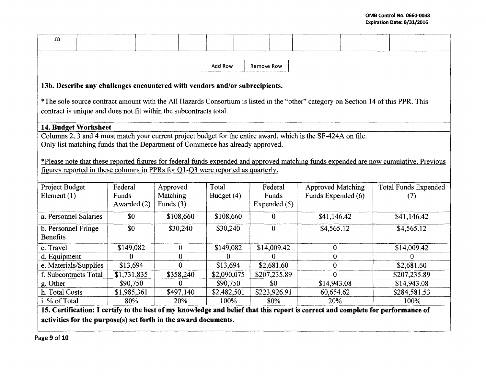| m                                                                                                                                                                                                                        |                                                                                                                                       |                                                                                |             |              |             |  |              |                          |  |                             |
|--------------------------------------------------------------------------------------------------------------------------------------------------------------------------------------------------------------------------|---------------------------------------------------------------------------------------------------------------------------------------|--------------------------------------------------------------------------------|-------------|--------------|-------------|--|--------------|--------------------------|--|-----------------------------|
| Add Row<br>Remove Row                                                                                                                                                                                                    |                                                                                                                                       |                                                                                |             |              |             |  |              |                          |  |                             |
| 13b. Describe any challenges encountered with vendors and/or subrecipients.                                                                                                                                              |                                                                                                                                       |                                                                                |             |              |             |  |              |                          |  |                             |
|                                                                                                                                                                                                                          | *The sole source contract amount with the All Hazards Consortium is listed in the "other" category on Section 14 of this PPR. This    |                                                                                |             |              |             |  |              |                          |  |                             |
|                                                                                                                                                                                                                          |                                                                                                                                       | contract is unique and does not fit within the subcontracts total.             |             |              |             |  |              |                          |  |                             |
|                                                                                                                                                                                                                          |                                                                                                                                       |                                                                                |             |              |             |  |              |                          |  |                             |
|                                                                                                                                                                                                                          | 14. Budget Worksheet<br>Columns 2, 3 and 4 must match your current project budget for the entire award, which is the SF-424A on file. |                                                                                |             |              |             |  |              |                          |  |                             |
|                                                                                                                                                                                                                          |                                                                                                                                       | Only list matching funds that the Department of Commerce has already approved. |             |              |             |  |              |                          |  |                             |
|                                                                                                                                                                                                                          |                                                                                                                                       |                                                                                |             |              |             |  |              |                          |  |                             |
| *Please note that these reported figures for federal funds expended and approved matching funds expended are now cumulative. Previous<br>figures reported in these columns in PPRs for Q1-Q3 were reported as quarterly. |                                                                                                                                       |                                                                                |             |              |             |  |              |                          |  |                             |
|                                                                                                                                                                                                                          |                                                                                                                                       |                                                                                |             |              |             |  |              |                          |  |                             |
| Project Budget                                                                                                                                                                                                           |                                                                                                                                       | Federal                                                                        | Approved    |              | Total       |  | Federal      | <b>Approved Matching</b> |  | <b>Total Funds Expended</b> |
| Element $(1)$                                                                                                                                                                                                            |                                                                                                                                       | Funds                                                                          | Matching    |              | Budget (4)  |  | Funds        | Funds Expended (6)       |  | (7)                         |
|                                                                                                                                                                                                                          |                                                                                                                                       | Awarded (2)                                                                    | Funds $(3)$ |              |             |  | Expended (5) |                          |  |                             |
| a. Personnel Salaries                                                                                                                                                                                                    |                                                                                                                                       | \$0                                                                            |             | \$108,660    | \$108,660   |  | $\bf{0}$     | \$41,146.42              |  | \$41,146.42                 |
| b. Personnel Fringe                                                                                                                                                                                                      |                                                                                                                                       | \$0                                                                            |             | \$30,240     | \$30,240    |  | $\mathbf{0}$ | \$4,565.12               |  | \$4,565.12                  |
| <b>Benefits</b>                                                                                                                                                                                                          |                                                                                                                                       |                                                                                |             |              |             |  |              |                          |  |                             |
| c. Travel                                                                                                                                                                                                                |                                                                                                                                       | \$149,082                                                                      |             | $\mathbf{0}$ | \$149,082   |  | \$14,009.42  | 0                        |  | \$14,009.42                 |
| d. Equipment                                                                                                                                                                                                             |                                                                                                                                       | 0                                                                              |             | $\mathbf{0}$ | $\bf{0}$    |  | $\theta$     | $\overline{0}$           |  | $\Omega$                    |
| e. Materials/Supplies                                                                                                                                                                                                    |                                                                                                                                       | \$13,694                                                                       |             | $\Omega$     | \$13,694    |  | \$2,681.60   | $\mathbf{0}$             |  | \$2,681.60                  |
| f. Subcontracts Total                                                                                                                                                                                                    |                                                                                                                                       | \$1,731,835                                                                    |             | \$358,240    | \$2,090,075 |  | \$207,235.89 | $\theta$                 |  | \$207,235.89                |
| g. Other                                                                                                                                                                                                                 |                                                                                                                                       | \$90,750                                                                       |             | $\Omega$     | \$90,750    |  | \$0          | \$14,943.08              |  | \$14,943.08                 |
| h. Total Costs                                                                                                                                                                                                           |                                                                                                                                       | \$1,985,361                                                                    |             | \$497,140    | \$2,482,501 |  | \$223,926.91 | 60,654.62                |  | \$284,581.53                |
| i. % of Total<br>80%<br>20%                                                                                                                                                                                              |                                                                                                                                       | 100%                                                                           |             | 80%          | 20%         |  | 100%         |                          |  |                             |
| 15. Certification: I certify to the best of my knowledge and belief that this report is correct and complete for performance of                                                                                          |                                                                                                                                       |                                                                                |             |              |             |  |              |                          |  |                             |
| activities for the purpose(s) set forth in the award documents.                                                                                                                                                          |                                                                                                                                       |                                                                                |             |              |             |  |              |                          |  |                             |